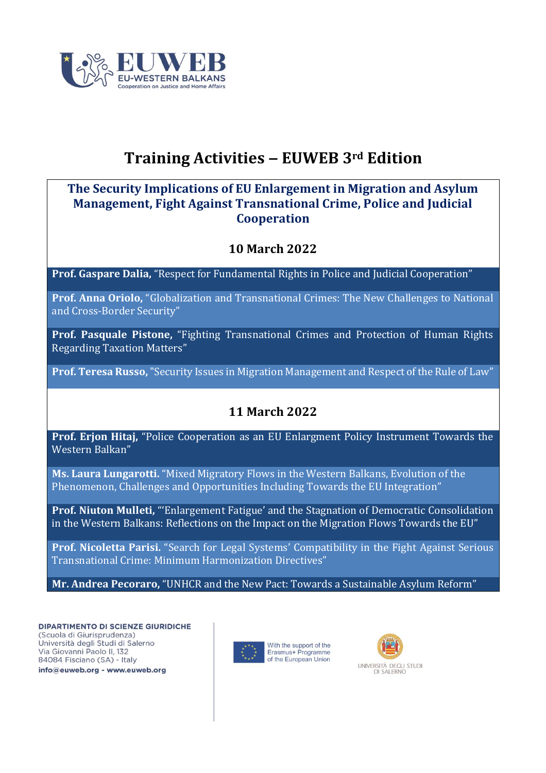

# **Training Activities ‒ EUWEB 3rd Edition**

#### **The Security Implications of EU Enlargement in Migration and Asylum Management, Fight Against Transnational Crime, Police and Judicial Cooperation**

#### **10 March 2022**

**Prof. Gaspare Dalia,** ["Respect for Fundamental Rights in Police and Judicial Cooperation"](https://www.euweb.org/wp-content/uploads/2022/03/Dalia-10-3-2022.pdf)

**Prof. Anna Oriolo,** "Globalizatio[n and Transnational Crimes: The New Challenges to National](https://www.euweb.org/wp-content/uploads/2022/03/Oriolo-10-3-2022.pdf)  and Cross-[Border Security"](https://www.euweb.org/wp-content/uploads/2022/03/Oriolo-10-3-2022.pdf)

**Prof. Pasquale Pistone,** ["Fighting Transnational Crimes and Protection of Human Rights](https://www.euweb.org/wp-content/uploads/2022/03/Pistone-10-3-2022.pdf)  [Regarding Taxation Matters"](https://www.euweb.org/wp-content/uploads/2022/03/Pistone-10-3-2022.pdf)

**Prof. Teresa Russo,** ["Security Issues in Migration Management and Respect of the Rule of Law"](https://www.euweb.org/wp-content/uploads/2022/03/Russo-10-3-2022.pdf)

### **11 March 2022**

**Prof. Erjon Hitaj,** ["Police Cooperation as an EU Enlargment Policy Instrument Towards the](https://www.euweb.org/wp-content/uploads/2022/03/Hitaj-11-3-2022.pdf)  [Western Balkan"](https://www.euweb.org/wp-content/uploads/2022/03/Hitaj-11-3-2022.pdf)

**Ms. Laura Lungarotti.** ["Mixed Migratory Flows in the Western Balkans, Evolution of the](https://www.euweb.org/wp-content/uploads/2022/03/Lungarotti-11-3-2022.pdf)  Phenomenon, Challenges [and Opportunities Including Towards the EU Integration"](https://www.euweb.org/wp-content/uploads/2022/03/Lungarotti-11-3-2022.pdf)

**Prof. Niuton Mulleti,** ["'Enlargement Fatigue' and the Stagnation of Democratic Consolidation](https://www.euweb.org/wp-content/uploads/2022/03/Mulleti-11-3-2022.pdf)  [in the Western Balkans: Reflections on the Impact on the Migration Flows Towards the EU"](https://www.euweb.org/wp-content/uploads/2022/03/Mulleti-11-3-2022.pdf)

**Prof. Nicoletta Parisi.** ["Search for Legal Systems' Compatibility in the Fight Against Serious](https://www.euweb.org/wp-content/uploads/2022/03/Parisi-11-3-2022.pdf)  [Transnational Crime: Minimum Harmonization Directives"](https://www.euweb.org/wp-content/uploads/2022/03/Parisi-11-3-2022.pdf)

**Mr. Andrea Pecoraro,** ["UNHCR and the New Pact: Towards a Sustainable Asylum Reform"](https://www.euweb.org/wp-content/uploads/2022/03/Pecoraro-11-3-2022.pdf)

**DIPARTIMENTO DI SCIENZE GIURIDICHE** (Scuola di Giurisprudenza) Università degli Studi di Salerno Via Giovanni Paolo II, 132 84084 Fisciano (SA) - Italy

info@euweb.org - www.euweb.org



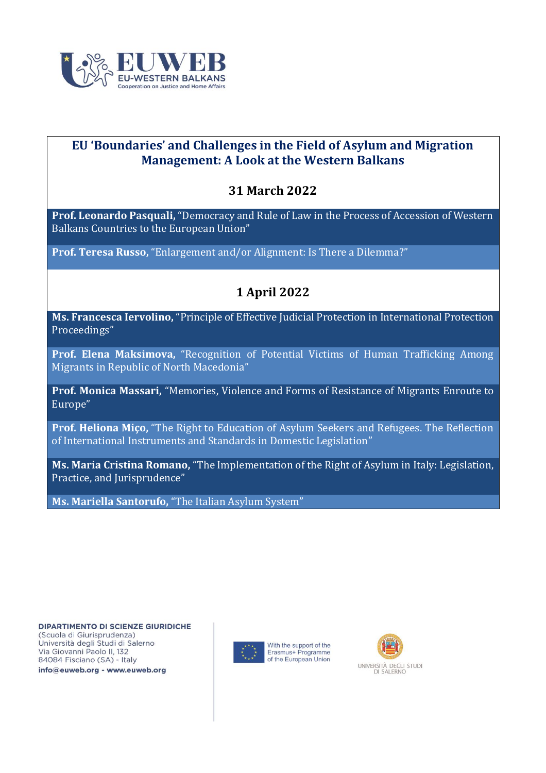

#### **EU 'Boundaries' and Challenges in the Field of Asylum and Migration Management: A Look at the Western Balkans**

#### **31 March 2022**

**Prof. Leonardo Pasquali,** ["Democracy and Rule of Law in the Process of Accession of Western](https://www.euweb.org/wp-content/uploads/2022/04/31-3-2022-Pasquali.pdf)  [Balkans Countries to the European Union"](https://www.euweb.org/wp-content/uploads/2022/04/31-3-2022-Pasquali.pdf)

**Prof. Teresa Russo,** ["Enlargement and/or Alignment: Is There a Dilemma?"](https://www.euweb.org/wp-content/uploads/2022/04/31-3-2022-Russo.pdf)

#### **1 April 2022**

**Ms. Francesca Iervolino,** "[Principle of Effective Judicial Protection in International Protection](https://www.euweb.org/wp-content/uploads/2022/04/1-4-2022-Iervolino.pdf)  [Proceedings](https://www.euweb.org/wp-content/uploads/2022/04/1-4-2022-Iervolino.pdf)"

**Prof. Elena Maksimova,** "[Recognition of Potential Victims of Human Trafficking Among](https://www.euweb.org/wp-content/uploads/2022/04/1-4-2022-Maksimova.pdf)  [Migrants in Republic of North Macedonia](https://www.euweb.org/wp-content/uploads/2022/04/1-4-2022-Maksimova.pdf)"

**Prof. Monica Massari,** "[Memories, Violence and Forms of Resistance of Migrants](https://www.euweb.org/wp-content/uploads/2022/04/1-4-2022-Massari.pdf) Enroute to [Europe](https://www.euweb.org/wp-content/uploads/2022/04/1-4-2022-Massari.pdf)"

**Prof. Heliona Miço,** "[The Right to Education of Asylum Seekers and Refugees. The Reflection](https://www.euweb.org/wp-content/uploads/2022/04/1-4-2022-Mico.pdf)  [of International Instruments and Standards in Domestic Legislation](https://www.euweb.org/wp-content/uploads/2022/04/1-4-2022-Mico.pdf)"

**Ms. Maria Cristina Romano,** "[The Implementation of the Right of Asylum in Italy: Legislation,](https://www.euweb.org/wp-content/uploads/2022/04/1-4-2022-Romano.pdf)  [Practice, and Jurisprudence](https://www.euweb.org/wp-content/uploads/2022/04/1-4-2022-Romano.pdf)"

**Ms. Mariella Santorufo,** ["The Italian Asylum System"](https://www.euweb.org/wp-content/uploads/2022/04/1-4-2022-Santorufo.pdf)

**DIPARTIMENTO DI SCIENZE GIURIDICHE** (Scuola di Giurisprudenza) Università degli Studi di Salerno Via Giovanni Paolo II, 132 84084 Fisciano (SA) - Italy





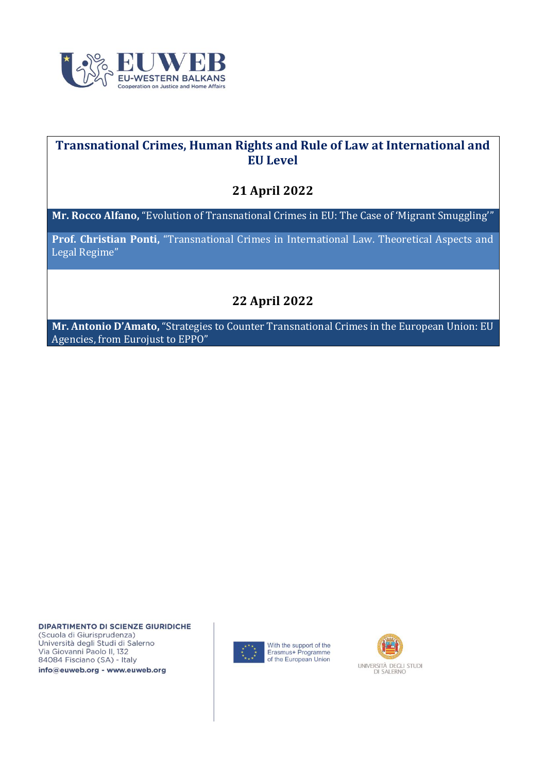

#### **Transnational Crimes, Human Rights and Rule of Law at International and EU Level**

#### **21 April 2022**

**Mr. Rocco Alfano,** ["Evolution of Transnational Crimes in EU: The Case of 'Migrant Smuggling'"](https://www.euweb.org/wp-content/uploads/2022/05/EUWEB-21-4-2022-SLIDES-Alfano.pdf)

**Prof. Christian Ponti,** ["Transnational Crimes in International Law. Theoretical Aspects and](https://www.euweb.org/wp-content/uploads/2022/06/EUWEB-21-4-2022-SLIDES-Ponti.pdf)  [Legal Regime"](https://www.euweb.org/wp-content/uploads/2022/06/EUWEB-21-4-2022-SLIDES-Ponti.pdf)

## **22 April 2022**

**Mr. Antonio D'Amato,** ["Strategies to Counter Transnational Crimes in the European Union: EU](https://www.euweb.org/wp-content/uploads/2022/05/EUWEB-21-4-2022-SLIDES-DAmato.pdf)  [Agencies, from Eurojust to EPPO"](https://www.euweb.org/wp-content/uploads/2022/05/EUWEB-21-4-2022-SLIDES-DAmato.pdf)

**DIPARTIMENTO DI SCIENZE GIURIDICHE** (Scuola di Giurisprudenza) Università degli Studi di Salerno Via Giovanni Paolo II, 132 84084 Fisciano (SA) - Italy

info@euweb.org - www.euweb.org